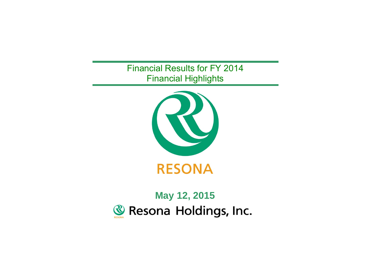Financial Results for FY 2014 Financial Highlights



# **May 12, 2015**Resona Holdings, Inc. **RESONA**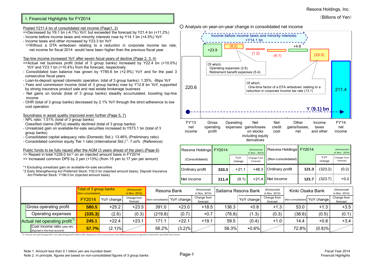### Resona Holdings, Inc.

## (Billions of Yen)

## I. Financial Highlights for FY2014

#### Posted Y211.4 bn of consolidated net income (Page1, 2)

- =>Decreased by Y9.1 bn (-4.1%) YoY, but exceeded the forecast by Y21.4 bn (+11.2%)
- Income before income taxes and minority interests rose by Y14.1 bn (+4.5%) YoY
- Income taxes and other increased by Y23.3 bn YoY
- $\Leftrightarrow$  Without a DTA writedown relating to a reduction in corporate income tax rate, net income for fiscal 2014 would have been higher than the previous fiscal year.

#### Top-line income increased YoY after seven fsical years of decline (Page 2, 3, 4)

- $\equiv$  >Actual net business profit (total of 3 group banks) increased by Y22.4 bn (+10.0%) YoY and Y23.1 bn (+10.4%) from the forecast, respectively.
- Consolidated loan balance has grown by Y785.6 bn (+2.9%) YoY and for the past 3 consecutive fiscal years
- Loan-to-deposit spread (domestic operation, total of 3 group banks): 1.35%, -9bps YoY
- Fees and commission income (total of 3 group banks) rose by Y12.8 bn YoY, supported by strong insurance product sale and real estate brokerage business
- Net gains on bonds (total of 3 group banks) steadily accumulated, boosting top-line income
- OHR (total of 3 group banks) decreased by 2.1% YoY through the strict adherence to low cost operation

## Soundness in asset quality improved even further (Page 5, 7)

- NPL ratio: 1.51% (total of 3 group banks)
- Classified claims (NPLs) steadily declined (total of 3 group banks)
- Unrealized gain on available-for-sale securities increased to Y573.1 bn (total of 3 group banks)
- Consolidated capital adequacy ratio (Domestic Std.): 13.46% (Preliminary ratio)
- Consolidated common equity Tier 1 ratio (International Std.)\*1: 7.xx% (Reference)

#### Public funds to be fully repaid after the AGM (3 years ahead of the plan) (Page 6) => Repaid in total Y228.0 bn\*2 on an injected amount basis in FY2014

- => Increased common DPS by 2 yen (+13%) (from 15 yen to 17 yen per annum)
- \*1 Excluding unrealized gain on available-for-sale securities
- \*2 Early Strengthening Act Preferred Stock: Y32.0 bn (injected amount basis), Deposit Insurance Act Preferred Stock: Y196.0 bn (injected amount basis)



| Resona Holdings FY2014 |       |               | (Announced<br>in Nov. 2014) | Resona Holdings FY2014  |       |               | (Announced<br>in Nov. 2014) |
|------------------------|-------|---------------|-----------------------------|-------------------------|-------|---------------|-----------------------------|
| (Consolidated)         |       | YoY<br>change | Change from<br>forecast     | $(Non-consolidated)$    |       | YoY<br>change | Change from<br>forecast     |
| <b>Ordinary profit</b> | 333.3 | $+21.1$       |                             | +48.3   Ordinary profit | 121.3 | (323.2)       | (0.2)                       |
| Net income             | 211.4 | (9.1)         |                             | +21.4 INet income       | 121.7 | (323.7)       | $+0.2$                      |

|                                                                | Total of 3 group banks<br>(Non-consolidated) |            | (Announced<br>in Nov. 2014) | Resona Bank |                               | (Announced<br>in Nov. 2014) |        | Saitama Resona Bank |                         |        | Kinki Osaka Bank              | (Announced<br>in Nov. 2014) |
|----------------------------------------------------------------|----------------------------------------------|------------|-----------------------------|-------------|-------------------------------|-----------------------------|--------|---------------------|-------------------------|--------|-------------------------------|-----------------------------|
|                                                                | <b>FY2014</b>                                | YoY change | Change from<br>forecast     |             | (Non-consolidated) YoY change | Change from<br>forecast     |        | YoY change          | Change from<br>forecast |        | (Non-consolidated) YoY change | Change from<br>forecast     |
| Gross operating profit                                         | 580.5                                        | $+25.2$    | $+23.5$                     | 391.0       | $+23.0$                       | $+18.5$                     | 136.3  | $+0.8$              | $+1.3$                  | 53.0   | $+1.3$                        | $+3.5$                      |
| Operating expenses                                             | (335.3)                                      | (2.6)      | (0.3)                       | (219.8)     | (0.7)                         | $+0.7$                      | (76.8) | (1.3)               | (0.3)                   | (38.6) | (0.5)                         | (0.1)                       |
| Actual net operating profit <sup>*3</sup>                      | 245.1                                        | $+22.4$    | $+23.1$                     | 171.1       | $+22.1$                       | $+19.1$                     | 59.5   | (0.4)               | $+1.0$                  | 14.4   | $+0.8$                        | $+3.4$                      |
| Cost income ratio (after NPL<br>disposal in the trust account) | 57.7%                                        | $(2.1)\%$  |                             | 56.2%       | $(3.2)\%$                     |                             | 56.3%  | $+0.6%$             |                         | 72.8%  | $(0.8) \%$                    |                             |

\*3. Actual net operating profit: net operating profit before NPL disposal in the trust account and before provision to general reserve for possible loan losses

# ○ Analysis on year-on-year change in consolidated net income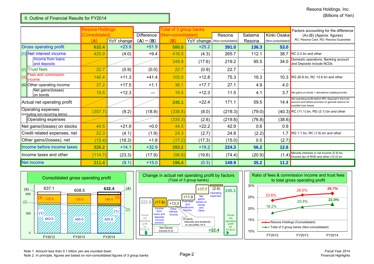## II. Outline of Financial Results for FY2014

|                                                       | <b>Resona Holdings</b> |            |                   | Total of 3 group banks |         |                               |         |                    | Factors accounting for the difference                                                                                                |
|-------------------------------------------------------|------------------------|------------|-------------------|------------------------|---------|-------------------------------|---------|--------------------|--------------------------------------------------------------------------------------------------------------------------------------|
|                                                       | (Consolidated)         |            | <b>Difference</b> | Non-consolidated)      |         | Resona                        | Saitama | Kinki Osaka        | (A)-(B) (Approx. figures)                                                                                                            |
|                                                       | (A)                    | YoY change | $(A) - (B)$       | (B)                    |         | YoY change (Non-consolidated) | Resona  | (Non-consolidated) | RC: Resona Card, RG: Resona Guarantee                                                                                                |
| <b>Gross operating profit</b>                         | 632.4                  | $+23.9$    | $+51.9$           | 580.5                  | $+25.2$ | 391.0                         | 136.3   | 53.0               |                                                                                                                                      |
| (1) Net interest income                               | 425.9                  | (4.0)      | $+9.4$            | 416.5                  | (4.3)   | 265.7                         | 112.1   | 38.7               | RC 2.2 bn and other                                                                                                                  |
| Income from loans<br>and deposits                     |                        |            |                   | 348.8                  | (17.6)  | 219.2                         | 95.5    | 34.0               | Domestic operations, Banking account<br>and Deposits include NCDs                                                                    |
| $(2)$ Trust fees                                      | 22.7                   | (0.9)      | (0.0)             | 22.7                   | (0.9)   | 22.7                          |         |                    |                                                                                                                                      |
| Fees and commission<br>(3)<br>income                  | 146.4                  | $+11.3$    | $+41.4$           | 105.0                  | $+12.8$ | 75.3                          | 19.3    |                    | 10.3 RG 26.8 bn, RC 13.6 bn and other                                                                                                |
| $(4)$ Other operating income                          | 37.2                   | $+17.5$    | $+1.1$            | 36.1                   | $+17.7$ | 27.1                          | 4.9     | 4.0                |                                                                                                                                      |
| Net gains/(losses)<br>on bonds                        | 19.5                   | $+12.3$    |                   | 19.5                   | $+12.3$ | 11.5                          | 4.1     | 3.7                | Net gains on bonds + derivatives (relating bonds)                                                                                    |
| Actual net operating profit                           |                        |            |                   | 245.1                  | $+22.4$ | 171.1                         | 59.5    | 14.4               | Net operating profit before NPL disposal in the trust<br>account and before provision to general reserve for<br>possible loan losses |
| Operating expenses<br>(including non-recurring items) | (357.7)                | (9.2)      | (18.9)            | (338.8)                | (8.0)   | (219.3)                       | (79.0)  |                    | $(40.3)$ RC (11.1) bn, RG (3.1) bn and other                                                                                         |
| Operating expenses                                    |                        |            |                   | (335.3)                | (2.6)   | (219.8)                       | (76.8)  | (38.6)             |                                                                                                                                      |
| Net gains/(losses) on stocks                          | 44.5                   | $+21.9$    | $+0.0$            | 44.5                   | $+22.2$ | 42.9                          | 0.6     | 0.9                |                                                                                                                                      |
| Credit related expenses, net                          | 22.3                   | (4.1)      | (1.9)             | 24.3                   | (2.7)   | 24.8                          | (2.2)   |                    | 1.7 RG 1.1 bn, RC (1.6) bn and other                                                                                                 |
| Other gains/(losses), net                             | (15.4)                 | (18.3)     | $+1.8$            | (17.2)                 | (17.3)  | (15.0)                        | 0.5     | (2.7)              |                                                                                                                                      |
| Income before income taxes                            | 326.2                  | $+14.1$    | $+32.9$           | 293.2                  | $+19.2$ | 224.3                         | 56.2    | 12.6               |                                                                                                                                      |
| Ilncome taxes and other                               | (114.7)                | (23.3)     | (17.9)            | (96.8)                 | (19.6)  | (74.4)                        | (20.9)  | (1.4)              | Minority interests in net income (5.9) bn,<br>Income tax of RHD and other (12.0) bn                                                  |
| Net income                                            | 211.4                  | (9.1)      | $+15.0$           | 196.4                  | (0.3)   | 149.9                         | 35.2    | 11.2               |                                                                                                                                      |





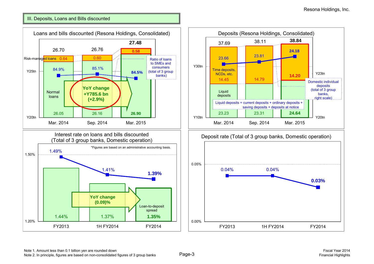# III. Deposits, Loans and Bills discounted



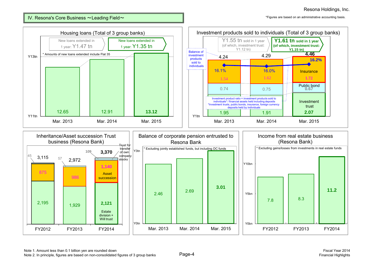IV. Resona's Core Business  $\sim$ Leading Field $\sim$ 

\*Figures are based on an administrative accounting basis.

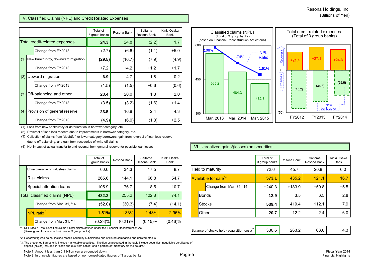## V. Classified Claims (NPL) and Credit Related Expenses

|     |                                    | Total of<br>3 group banks | Resona Bank | Saitama<br>Resona Bank | Kinki Osaka<br><b>Bank</b> |
|-----|------------------------------------|---------------------------|-------------|------------------------|----------------------------|
|     | Total credit-related expenses      | 24.3                      | 24.8        | (2.2)                  | 1.7                        |
|     | Change from FY2013                 | (2.7)                     | (6.6)       | (1.1)                  | $+5.0$                     |
| (1) | New bankruptcy, downward migration | (29.5)                    | (16.7)      | (7.9)                  | (4.9)                      |
|     | Change from FY2013                 | $+7.2$                    | $+4.2$      | $+1.2$                 | $+1.7$                     |
| (2) | Upward migration                   | 6.9                       | 4.7         | 1.8                    | 0.2                        |
|     | Change from FY2013                 | (1.5)                     | (1.5)       | $+0.6$                 | (0.6)                      |
| (3) | Off-balancing and other            | 23.4                      | 20.0        | 1.3                    | 2.0                        |
|     | Change from FY2013                 | (3.5)                     | (3.2)       | (1.6)                  | $+1.4$                     |
| (4) | Provision of general reserve       | 23.5                      | 16.8        | 2.4                    | 4.3                        |
|     | Change from FY2013                 | (4.9)                     | (6.0)       | (1.3)                  | $+2.5$                     |

(1) Loss from new bankruptcy or deterioration in borrower category, etc.

(2) Reversal of loan loss reserve due to improvements in borrower category, etc.

(3) Collection of claims from "doubtful" or lower category borrowers, gain from reversal of loan loss reserve due to off-balancing, and gain from recoveries of write-off claims

(4) Net impact of actual transfer to and reversal from general reserve for possible loan losses

|                          |                                   | Total of<br>3 group banks | Resona Bank | Saitama<br>Resona Bank | Kinki Osaka<br>Bank |
|--------------------------|-----------------------------------|---------------------------|-------------|------------------------|---------------------|
|                          | Unrecoverable or valueless claims | 60.6                      | 34.3        | 17.5                   | 8.7                 |
|                          | Risk claims                       | 265.6                     | 144.1       | 66.8                   | 54.7                |
|                          | Special attention loans           | 105.9                     | 76.7        | 18.5                   | 10.7                |
|                          | Total classified claims (NPL)     | 432.3                     | 255.2       | 102.8                  | 74.1                |
| Change from Mar. 31, '14 |                                   | (52.0)                    | (30.3)      | (7.4)                  | (14.1)              |
|                          | NPL ratio <sup>*1</sup>           | 1.51%                     | 1.33%       | 1.48%                  | 2.96%               |
|                          | Change from Mar. 31, '14          | (0.23)%                   | $(0.21)\%$  | (0.15)%                | $(0.46)\%$          |

\*1. NPL ratio = Total classified claims / Total claims defined under the Financial Reconstruction Act. (Banking and trust accounts) (Total of 3 group banks)

\*2. Reported figures do not include stocks issued by subsidiaries and affiliated companies and unlisted stocks.

\*3. The presented figures only include marketable securities. The figures presented in the table include securities, negotiable certificates of deposit (NCDs) included in "cash and due from banks" and a portion of "monetary claims bought."



## VI. Unrealized gains/(losses) on securities

|                               | Total of<br>3 group banks | Resona Bank | Saitama<br>Resona Bank | Kinki Osaka<br>Bank |                         |                                  | Total of<br>3 group banks | Resona Bank | Saitama<br>Resona Bank | Kinki Osaka<br>Bank |
|-------------------------------|---------------------------|-------------|------------------------|---------------------|-------------------------|----------------------------------|---------------------------|-------------|------------------------|---------------------|
| coverable or valueless claims | 60.6                      | 34.3        | 17.5                   | 8.7                 | <b>Held to maturity</b> |                                  | 72.6                      | 45.7        | 20.8                   | 6.0                 |
| c claims                      | 265.6                     | 144.1       | 66.8                   | 54.7                |                         | Available for sale <sup>*3</sup> | 573.1                     | 435.2       | 121.1                  | 16.7                |
| cial attention loans          | 105.9                     | 76.7        | 18.5                   | 10.7                |                         | Change from Mar. 31, '14         | $+240.3$                  | $+183.9$    | $+50.8$                | $+5.5$              |
| assified claims (NPL)         | 432.3                     | 255.2       | 102.8                  | 74.1                |                         | Bonds                            | 12.9                      | 3.5         | 6.5                    | 2.8                 |
| Change from Mar. 31, '14      | (52.0)                    | (30.3)      | (7.4)                  | (14.1)              |                         | <b>Stocks</b>                    | 539.4                     | 419.4       | 112.1                  | 7.9                 |
| ratio <sup>*1</sup>           | 1.51%                     | $1.33\%$    | 1.48%                  | 2.96%               |                         | Other                            | 20.7                      | 12.2        | 2.4                    | 6.0                 |
|                               |                           |             |                        |                     |                         |                                  |                           |             |                        |                     |

| Balance of stocks held (acquisition cost) " | OU.C | ב הר | しいい |  |
|---------------------------------------------|------|------|-----|--|
|---------------------------------------------|------|------|-----|--|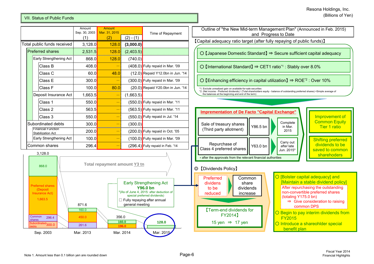## VII. Status of Public Funds

|                                                       | Amount<br>Sep. 30, 2003                     | Amount<br>Mar. 31, 2015      |             | Time of Repayment                  | Outline of "the New Mid-term Management Plan" (Announced in<br>and Progress to Date                                                                                                        |
|-------------------------------------------------------|---------------------------------------------|------------------------------|-------------|------------------------------------|--------------------------------------------------------------------------------------------------------------------------------------------------------------------------------------------|
|                                                       | (1)                                         | (2)                          | $(2) - (1)$ |                                    | [Capital adequacy ratio target (after fully repaying of public funds)]                                                                                                                     |
| Total public funds received                           | 3,128.0                                     | 128.0                        | (3,000.0)   |                                    |                                                                                                                                                                                            |
| <b>Preferred shares</b>                               | 2,531.5                                     | 128.0                        | (2,403.5)   |                                    | O [Japanese Domestic Standard] $\Rightarrow$ Secure sufficient capital a                                                                                                                   |
| Early Strengthening Act                               | 868.0                                       | 128.0                        | (740.0)     |                                    |                                                                                                                                                                                            |
| Class B                                               | 408.0                                       |                              |             | $(408.0)$ Fully repaid in Mar. '09 | O [International Standard] $\Rightarrow$ CET1 ratio <sup>*1</sup> : Stably over 8.0%                                                                                                       |
| Class C                                               | 60.0                                        | 48.0                         |             | (12.0) Repaid Y12.0bn in Jun. '14  |                                                                                                                                                                                            |
| Class E                                               | 300.0                                       |                              |             | $(300.0)$ Fully repaid in Mar. '09 | O [Enhancing efficiency in capital utilization] $\Rightarrow$ ROE <sup>*2</sup> : Over 10                                                                                                  |
| Class F                                               | 100.0                                       | 80.01                        |             | (20.0) Repaid Y20.0bn in Jun. '14  | *1. Exclude unrealized gain on available-for-sale securities                                                                                                                               |
| Deposit Insurance Act                                 | 1,663.5                                     |                              | (1,663.5)   |                                    | *2. (Net income - Preferred dividends) / (Total shareholders equity - balance of outstanding preferred shares) <simple a<br="">the balances at the beginning and end of the term)</simple> |
| Class 1                                               | 550.0<br>$(550.0)$ Fully repaid in Mar. '11 |                              |             |                                    |                                                                                                                                                                                            |
| Class 2                                               | 563.5                                       |                              |             | $(563.5)$ Fully repaid in Mar. '11 | <b>Imprementation of De Facto "Capital Exchange"</b>                                                                                                                                       |
| Class 3                                               | 550.0 <mark>1</mark>                        |                              |             | $(550.0)$ Fully repaid in Jul. '14 | Impro                                                                                                                                                                                      |
| Subordinated debts                                    | 300.0l                                      |                              | (300.0)     |                                    | Comr<br>Complete<br>Sale of treasury shares<br>Y86.5 bn<br>Tie<br>in Mar.                                                                                                                  |
| <b>Financial Function</b><br><b>Stabilization Act</b> | 200.0                                       |                              |             | $(200.0)$ Fully repaid in Oct. '05 | (Third party allotment)<br>2015                                                                                                                                                            |
| Early Strengthening Act                               | 100.0                                       |                              |             | (100.0) Fully repaid in Mar. '09   | <b>Shiftin</b>                                                                                                                                                                             |
| Common shares                                         | 296.4                                       |                              |             | $(296.4)$ Fully repaid in Feb. '14 | Carry out<br>Repurchase of<br>divide<br>Y63.0 bn<br>after late<br>Class 4 preferred shares                                                                                                 |
| 3,128.0                                               |                                             |                              |             |                                    | saved<br>Jun. 2015*<br>sha                                                                                                                                                                 |
| 868.0                                                 |                                             | Total repayment amount Y3 tn |             |                                    | * after the approvals from the relevant financial authorities<br>[Dividends Policy]<br>⊚<br>O [Bolster capital adequa<br>Common<br>Preferred                                               |
|                                                       |                                             |                              |             | <b>Early Strengthening Act</b>     | <b>Maintain a stable divic</b><br>dividens<br>share                                                                                                                                        |

**196.0**

**160.0**

356.0

**Imprementation of De Facto "Capital Exchange"** ◎ 【Dividends Policy】 Sale of treasury shares (Third party allotment) Repurchase of Class 4 preferred shares Y86.5 bnY63.0 bn Improvement of **Common Equity** Tier 1 ratio Shifting preferred dividends to be saved to common **sharehoders** Complete in Mar. 2015Carry out after late Jun. 2015\*\* after the approvals from the relevant financial authorities  $\overline{O}$  [Enhancing efficiency in capital utilization] ⇒ ROE<sup>\*2</sup> : Over 10% ○ [Bolster capital adequacy] and [Maintain a stable dividend policy] ○ Begin to pay interim dividends from FY2015○ Introduce a shareohlder special benefit plan Common share dividends increase\*1. Exclude unrealized gain on available-for-sale securities \*2. (Net income - Preferred dividends) / (Total shareholders equity - balance of outstanding preferred shares) <Simple average of the balances at the beginning and end of the term) 【Term-end dividends for FY2014】 15 yen  $\Rightarrow$  17 yen Preferred dividens to be reducedAfter repurchasing the outstanding non-convertible preferred shares (totaling Y175.0 bn) ⇒ Give consideration to raising common DPS

Outline of "the New Mid-term Management Plan" (Announced in Feb. 2015) and Progress to Date

○ 【Japanese Domestic Standard】 <sup>⇒</sup> Secure sufficient capital adequacy

261.6

Sep. 2003 Mar. 2013 Mar. 2014 Mar. 2015

450.0

160.0

871.6

300.0 296.4

1,663.5

Common shares

Subordinated debts

Preferred shares (Deposit Insurance Act)

**128.0**

**Y96.0 bn** \*(As of June 4, 2015: after deduction of special preferred dividends)  $\square$  Fully repaying after annual general meeting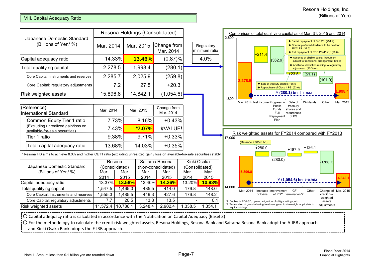# VIII. Capital Adequacy Ratio

|                                                                                                                                  |                          |                | Resona Holdings (Consolidated) |                                      |                |                               | 2,600  | Comparison of total qualifying capital as of Mar. 31, 2015 and 2014                                                                                                          |
|----------------------------------------------------------------------------------------------------------------------------------|--------------------------|----------------|--------------------------------|--------------------------------------|----------------|-------------------------------|--------|------------------------------------------------------------------------------------------------------------------------------------------------------------------------------|
| Japanese Domestic Standard<br>(Billions of Yen/ %)                                                                               | Mar. 2014                |                | Mar. 2015                      | Change from<br>Mar. 2014             |                | Regulatory<br>minimum ratio   |        | ◆ Partial repayment of DIC PS: (234.9)<br>♦ Special preferred dividends to be paid for<br>RCC PS: (32.0)<br>♦ Full repayment of RCC PS (Plan): (96.0)<br>$+211.4$            |
| Capital adequacy ratio                                                                                                           | 14.33%                   |                | 13.46%                         | $(0.87)\%$                           |                | 4.0%                          |        | ◆ Absence of eligible capital instrument<br>(362.9)<br>subject to transitional arrangement: (69.8)                                                                           |
| Total qualifying capital                                                                                                         | 2,278.5                  |                | 1,998.4                        | (280.1)                              |                |                               |        | ♦ Additional deduction relating to reguratory<br>adjustment: (20.3) etc.                                                                                                     |
| Core Capital: instruments and reserves                                                                                           | 2,285.7                  |                | 2,025.9                        | (259.8)                              |                |                               |        | $+23.5$ (51.1)<br>(101.0)                                                                                                                                                    |
| Core Capital: regulatory adjustments                                                                                             | 7.2                      |                | 27.5                           | $+20.3$                              |                |                               |        | 2,278.5<br>Sale of treasury shares: +86.5<br>♦ Repurchase of Class 4 PS: (63.0)                                                                                              |
| <b>Risk weighted assets</b>                                                                                                      | 15,896.8                 |                | 14,842.1                       | (1,054.6)                            |                |                               | 1.800  | 998<br>$Y(280.1)$ bn $(-1.76%)$                                                                                                                                              |
| (Reference)<br><b>International Standard</b><br>Common Equity Tier 1 ratio                                                       | Mar. 2014<br>7.73%       |                | Mar. 2015<br>8.16%             | Change from<br>Mar. 2014<br>$+0.43%$ |                |                               |        | Mar. 2014 Net income Progress in<br>Dividends<br>Other<br>Mar. 2015<br>Sale of<br>Public<br>treasury<br>shares and<br>Funds<br>repurchase<br>Full<br>Repayment of PS<br>Plan |
| (Excluding unrealized gain/loss on<br>available-for-sale securities)                                                             | 7.43%                    |                | *7.07%                         | #VALUE!                              |                |                               |        | Risk weighted assets for FY2014 compared with FY2013                                                                                                                         |
| Tier 1 ratio                                                                                                                     | 9.38%                    |                | 9.71%                          | $+0.33%$                             |                |                               | 17,000 |                                                                                                                                                                              |
|                                                                                                                                  |                          |                |                                |                                      |                |                               |        |                                                                                                                                                                              |
| Total capital adequacy ratio                                                                                                     | 13.68%                   |                | 14.03%                         | $+0.35%$                             |                |                               |        | (Balance +785.6 bn)<br>$+280.0$<br>$+126.1$                                                                                                                                  |
| Resona HD aims to achieve 8.0% and higher CET1 ratio (excluding unrealized gain / loss on available-for-sale securities) stably. |                          |                |                                |                                      |                |                               |        | $+187.9$                                                                                                                                                                     |
| Japanese Domestic Standard                                                                                                       | Resona<br>(Consolidated) |                |                                | Saitama Resona<br>(Non-consolidated) |                | Kinki Osaka<br>(Consolidated) |        | (280.0)<br>(1,368.7)                                                                                                                                                         |
| (Billions of Yen/ %)                                                                                                             | Mar.                     | Mar.           | Mar.                           | Mar.                                 | Mar.           | Mar.                          |        | 5.896.                                                                                                                                                                       |
| Capital adequacy ratio                                                                                                           | 2014<br>13.37%           | 2015<br>13.58% | 2014<br>13.40%                 | 2015<br>14.26%                       | 2014<br>13.20% | 2015<br>10.93%                |        | 4,842.1<br>Y (1,054.6) bn (+0.89%)                                                                                                                                           |
| Total qualifying capital                                                                                                         | 1,547.5                  | 1,465.0        | 435.5                          | 414.0                                | 176.8          | 148.0                         | 14.000 | Other                                                                                                                                                                        |
| Core Capital: instruments and reserves                                                                                           | 1,555.3                  | 1,485.5        | 449.3                          | 427.6                                | 176.8          | 148.2                         |        | Change of Mar. 2015<br>Mar. 2014<br><b>GF</b><br>Increase Improvement<br>of PD*1 termination*2<br>of loans<br>credit risk                                                    |
| Core Capital: regulatory adjustments                                                                                             | 7.7                      | 20.5           | 13.8                           | 13.5                                 |                | 0.1                           |        | weighted<br>assets<br>*1. Decline in PD/LGD, upward migration of obligor ratings, etc                                                                                        |
| Risk weighted assets                                                                                                             | 11,572.4                 | 10,786.1       | 3,248.4                        | 2,902.4                              | 1,338.5        | 1,354.1                       |        | *2. Termination of grandfathering treatment given to risk-weight applicable to<br>adjustments<br>equity holdings                                                             |

and Kinki Osaka Bank adopts the F‐IRB approach.